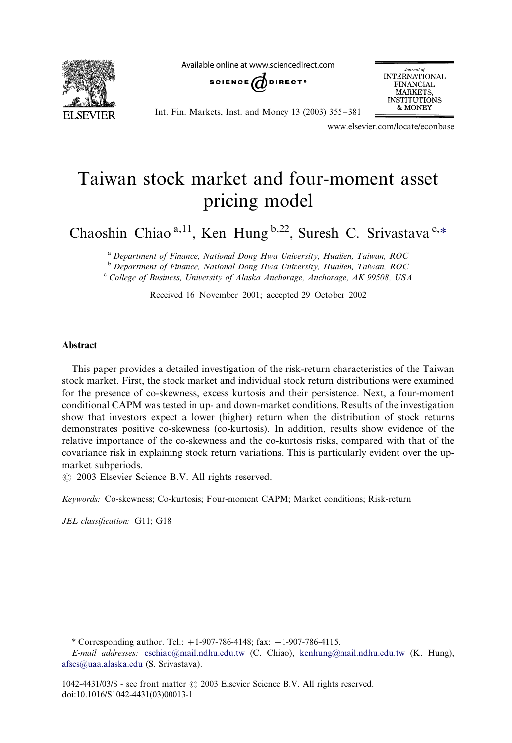

Available online at www.sciencedirect.com



Journal of **INTERNATIONAL FINANCIAL** MARKETS, **INSTITUTIONS** & MONEY

Int. Fin. Markets, Inst. and Money 13 (2003) 355-/381

www.elsevier.com/locate/econbase

## Taiwan stock market and four-moment asset pricing model

Chaoshin Chiao<sup>a,11</sup>, Ken Hung <sup>b,22</sup>, Suresh C. Srivastava<sup>c,\*</sup>

<sup>a</sup> Department of Finance, National Dong Hwa University, Hualien, Taiwan, ROC<br><sup>b</sup> Department of Finance, National Dong Hwa University, Hualien, Taiwan, ROC<br><sup>c</sup> College of Business, University of Alaska Anchorage, Anchorag

Received 16 November 2001; accepted 29 October 2002

## Abstract

This paper provides a detailed investigation of the risk-return characteristics of the Taiwan stock market. First, the stock market and individual stock return distributions were examined for the presence of co-skewness, excess kurtosis and their persistence. Next, a four-moment conditional CAPM was tested in up- and down-market conditions. Results of the investigation show that investors expect a lower (higher) return when the distribution of stock returns demonstrates positive co-skewness (co-kurtosis). In addition, results show evidence of the relative importance of the co-skewness and the co-kurtosis risks, compared with that of the covariance risk in explaining stock return variations. This is particularly evident over the upmarket subperiods.

 $\odot$  2003 Elsevier Science B.V. All rights reserved.

Keywords: Co-skewness; Co-kurtosis; Four-moment CAPM; Market conditions; Risk-return

JEL classification: G11; G18

\* Corresponding author. Tel.:  $+1-907-786-4148$ ; fax:  $+1-907-786-4115$ .

E-mail addresses: [cschiao@mail.ndhu.edu.tw](mailto:cschiao@mail.ndhu.edu.tw) (C. Chiao), [kenhung@mail.ndhu.edu.tw](mailto:kenhung@mail.ndhu.edu.tw) (K. Hung), [afscs@uaa.alaska.edu](mailto:afscs@uaa.alaska.edu) (S. Srivastava).

 $1042-4431/03/$  - see front matter  $\odot$  2003 Elsevier Science B.V. All rights reserved. doi:10.1016/S1042-4431(03)00013-1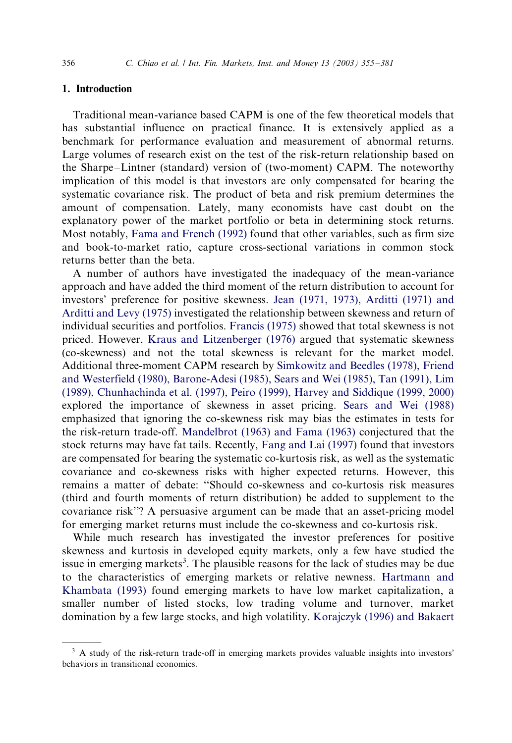## 1. Introduction

Traditional mean-variance based CAPM is one of the few theoretical models that has substantial influence on practical finance. It is extensively applied as a benchmark for performance evaluation and measurement of abnormal returns. Large volumes of research exist on the test of the risk-return relationship based on the Sharpe–Lintner (standard) version of (two-moment) CAPM. The noteworthy implication of this model is that investors are only compensated for bearing the systematic covariance risk. The product of beta and risk premium determines the amount of compensation. Lately, many economists have cast doubt on the explanatory power of the market portfolio or beta in determining stock returns. Most notably, [Fama and French \(1992\)](#page--1-0) found that other variables, such as firm size and book-to-market ratio, capture cross-sectional variations in common stock returns better than the beta.

A number of authors have investigated the inadequacy of the mean-variance approach and have added the third moment of the return distribution to account for investors' preference for positive skewness. [Jean \(1971, 1973\), Arditti \(1971\) and](#page--1-0) [Arditti and Le](#page--1-0)vy (1975) investigated the relationship between skewness and return of individual securities and portfolios. [Francis \(1975\)](#page--1-0) showed that total skewness is not priced. However, [Kraus and Litzenberger \(1976\)](#page--1-0) argued that systematic skewness (co-skewness) and not the total skewness is relevant for the market model. Additional three-moment CAPM research by [Simkowitz and Beedles \(1978\), Friend](#page--1-0) [and Westerfield \(1980\), Barone-Adesi \(1985\), Sears and Wei \(1985\), Tan \(1991\), Lim](#page--1-0) [\(1989\), Chunhachinda et al. \(1997\), Peiro \(1999\), Har](#page--1-0)vey and Siddique (1999, 2000) explored the importance of skewness in asset pricing. [Sears and Wei \(1988\)](#page--1-0) emphasized that ignoring the co-skewness risk may bias the estimates in tests for the risk-return trade-off. [Mandelbrot \(1963\) and Fama \(1963\)](#page--1-0) conjectured that the stock returns may have fat tails. Recently, [Fang and Lai \(1997\)](#page--1-0) found that investors are compensated for bearing the systematic co-kurtosis risk, as well as the systematic covariance and co-skewness risks with higher expected returns. However, this remains a matter of debate: ''Should co-skewness and co-kurtosis risk measures (third and fourth moments of return distribution) be added to supplement to the covariance risk''? A persuasive argument can be made that an asset-pricing model for emerging market returns must include the co-skewness and co-kurtosis risk.

While much research has investigated the investor preferences for positive skewness and kurtosis in developed equity markets, only a few have studied the issue in emerging markets<sup>3</sup>. The plausible reasons for the lack of studies may be due to the characteristics of emerging markets or relative newness. [Hartmann and](#page--1-0) [Khambata \(1993\)](#page--1-0) found emerging markets to have low market capitalization, a smaller number of listed stocks, low trading volume and turnover, market domination by a few large stocks, and high volatility. [Korajczyk \(1996\) and Bakaert](#page--1-0)

 $3$  A study of the risk-return trade-off in emerging markets provides valuable insights into investors' behaviors in transitional economies.